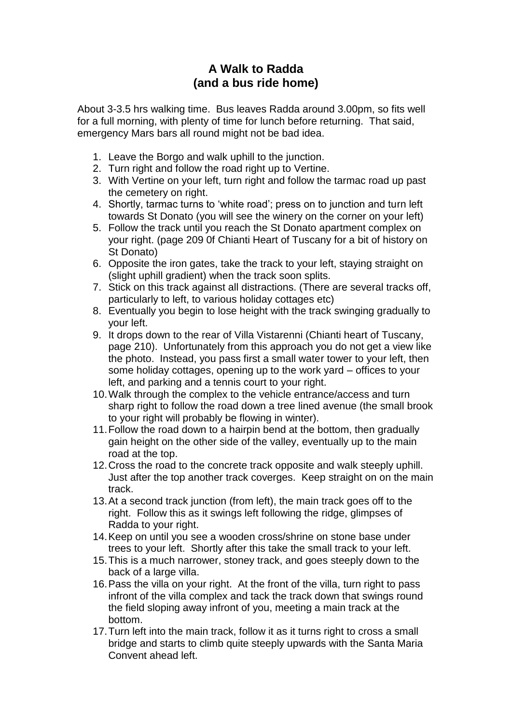## **A Walk to Radda (and a bus ride home)**

About 3-3.5 hrs walking time. Bus leaves Radda around 3.00pm, so fits well for a full morning, with plenty of time for lunch before returning. That said, emergency Mars bars all round might not be bad idea.

- 1. Leave the Borgo and walk uphill to the junction.
- 2. Turn right and follow the road right up to Vertine.
- 3. With Vertine on your left, turn right and follow the tarmac road up past the cemetery on right.
- 4. Shortly, tarmac turns to 'white road'; press on to junction and turn left towards St Donato (you will see the winery on the corner on your left)
- 5. Follow the track until you reach the St Donato apartment complex on your right. (page 209 0f Chianti Heart of Tuscany for a bit of history on St Donato)
- 6. Opposite the iron gates, take the track to your left, staying straight on (slight uphill gradient) when the track soon splits.
- 7. Stick on this track against all distractions. (There are several tracks off, particularly to left, to various holiday cottages etc)
- 8. Eventually you begin to lose height with the track swinging gradually to your left.
- 9. It drops down to the rear of Villa Vistarenni (Chianti heart of Tuscany, page 210). Unfortunately from this approach you do not get a view like the photo. Instead, you pass first a small water tower to your left, then some holiday cottages, opening up to the work yard – offices to your left, and parking and a tennis court to your right.
- 10.Walk through the complex to the vehicle entrance/access and turn sharp right to follow the road down a tree lined avenue (the small brook to your right will probably be flowing in winter).
- 11.Follow the road down to a hairpin bend at the bottom, then gradually gain height on the other side of the valley, eventually up to the main road at the top.
- 12.Cross the road to the concrete track opposite and walk steeply uphill. Just after the top another track coverges. Keep straight on on the main track.
- 13.At a second track junction (from left), the main track goes off to the right. Follow this as it swings left following the ridge, glimpses of Radda to your right.
- 14.Keep on until you see a wooden cross/shrine on stone base under trees to your left. Shortly after this take the small track to your left.
- 15.This is a much narrower, stoney track, and goes steeply down to the back of a large villa.
- 16.Pass the villa on your right. At the front of the villa, turn right to pass infront of the villa complex and tack the track down that swings round the field sloping away infront of you, meeting a main track at the bottom.
- 17.Turn left into the main track, follow it as it turns right to cross a small bridge and starts to climb quite steeply upwards with the Santa Maria Convent ahead left.